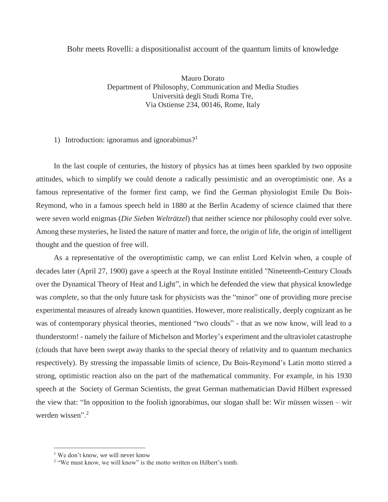# Bohr meets Rovelli: a dispositionalist account of the quantum limits of knowledge

Mauro Dorato Department of Philosophy, Communication and Media Studies Università degli Studi Roma Tre, Via Ostiense 234, 00146, Rome, Italy

1) Introduction: ignoramus and ignorabimus? 1

In the last couple of centuries, the history of physics has at times been sparkled by two opposite attitudes, which to simplify we could denote a radically pessimistic and an overoptimistic one. As a famous representative of the former first camp, we find the German physiologist Emile Du Bois-Reymond, who in a famous speech held in 1880 at the Berlin Academy of science claimed that there were seven world enigmas (*Die Sieben Welträtzel*) that neither science nor philosophy could ever solve. Among these mysteries, he listed the nature of matter and force, the origin of life, the origin of intelligent thought and the question of free will.

As a representative of the overoptimistic camp, we can enlist Lord Kelvin when, a couple of decades later (April 27, 1900) gave a speech at the Royal Institute entitled "Nineteenth-Century Clouds over the Dynamical Theory of Heat and Light", in which he defended the view that physical knowledge was *complete*, so that the only future task for physicists was the "minor" one of providing more precise experimental measures of already known quantities. However, more realistically, deeply cognizant as he was of contemporary physical theories, mentioned "two clouds" - that as we now know, will lead to a thunderstorm! - namely the failure of Michelson and Morley's experiment and the ultraviolet catastrophe (clouds that have been swept away thanks to the special theory of relativity and to quantum mechanics respectively). By stressing the impassable limits of science, Du Bois-Reymond's Latin motto stirred a strong, optimistic reaction also on the part of the mathematical community. For example, in his 1930 speech at the Society of German Scientists, the great German mathematician David Hilbert expressed the view that: "In opposition to the foolish ignorabimus, our slogan shall be: Wir müssen wissen – wir werden wissen".<sup>2</sup>

 $<sup>1</sup>$  We don't know, we will never know</sup>

<sup>&</sup>lt;sup>2</sup> "We must know, we will know" is the motto written on Hilbert's tomb.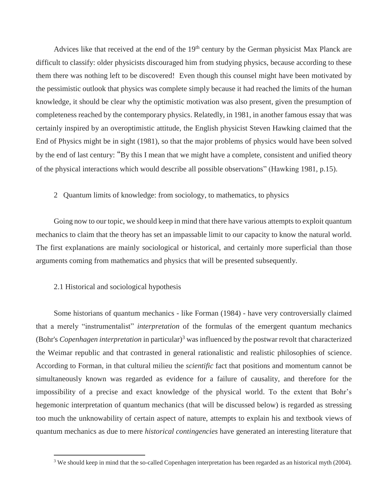Advices like that received at the end of the  $19<sup>th</sup>$  century by the German physicist Max Planck are difficult to classify: older physicists discouraged him from studying physics, because according to these them there was nothing left to be discovered! Even though this counsel might have been motivated by the pessimistic outlook that physics was complete simply because it had reached the limits of the human knowledge, it should be clear why the optimistic motivation was also present, given the presumption of completeness reached by the contemporary physics. Relatedly, in 1981, in another famous essay that was certainly inspired by an overoptimistic attitude, the English physicist Steven Hawking claimed that the End of Physics might be in sight (1981), so that the major problems of physics would have been solved by the end of last century: "By this I mean that we might have a complete, consistent and unified theory of the physical interactions which would describe all possible observations" (Hawking 1981, p.15).

# 2 Quantum limits of knowledge: from sociology, to mathematics, to physics

Going now to our topic, we should keep in mind that there have various attempts to exploit quantum mechanics to claim that the theory has set an impassable limit to our capacity to know the natural world. The first explanations are mainly sociological or historical, and certainly more superficial than those arguments coming from mathematics and physics that will be presented subsequently.

## 2.1 Historical and sociological hypothesis

 $\overline{a}$ 

Some historians of quantum mechanics - like Forman (1984) - have very controversially claimed that a merely "instrumentalist" *interpretation* of the formulas of the emergent quantum mechanics (Bohr's *Copenhagen interpretation* in particular)<sup>3</sup> was influenced by the postwar revolt that characterized the Weimar republic and that contrasted in general rationalistic and realistic philosophies of science. According to Forman, in that cultural milieu the *scientific* fact that positions and momentum cannot be simultaneously known was regarded as evidence for a failure of causality, and therefore for the impossibility of a precise and exact knowledge of the physical world. To the extent that Bohr's hegemonic interpretation of quantum mechanics (that will be discussed below) is regarded as stressing too much the unknowability of certain aspect of nature, attempts to explain his and textbook views of quantum mechanics as due to mere *historical contingencies* have generated an interesting literature that

<sup>&</sup>lt;sup>3</sup> We should keep in mind that the so-called Copenhagen interpretation has been regarded as an historical myth (2004).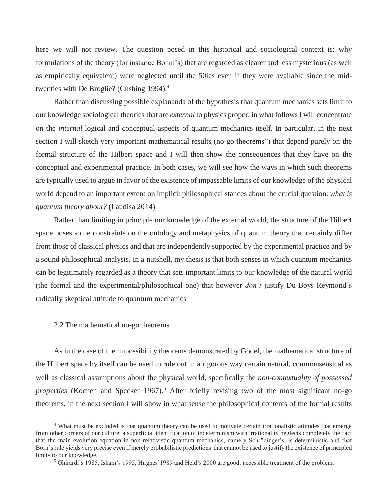here we will not review. The question posed in this historical and sociological context is: why formulations of the theory (for instance Bohm's) that are regarded as clearer and less mysterious (as well as empirically equivalent) were neglected until the 50ies even if they were available since the midtwenties with De Broglie? (Cushing 1994). 4

Rather than discussing possible explananda of the hypothesis that quantum mechanics sets limit to our knowledge sociological theories that are *external* to physics proper, in what follows I will concentrate on the *internal* logical and conceptual aspects of quantum mechanics itself. In particular, in the next section I will sketch very important mathematical results (no-go theorems") that depend purely on the formal structure of the Hilbert space and I will then show the consequences that they have on the conceptual and experimental practice. In both cases, we will see how the ways in which such theorems are typically used to argue in favor of the existence of impassable limits of our knowledge of the physical world depend to an important extent on implicit philosophical stances about the crucial question: *what is quantum theory about?* (Laudisa 2014)

Rather than limiting in principle our knowledge of the external world, the structure of the Hilbert space poses some constraints on the ontology and metaphysics of quantum theory that certainly differ from those of classical physics and that are independently supported by the experimental practice and by a sound philosophical analysis. In a nutshell, my thesis is that both senses in which quantum mechanics can be legitimately regarded as a theory that sets important limits to our knowledge of the natural world (the formal and the experimental/philosophical one) that however *don't* justify Du-Boys Reymond's radically skeptical attitude to quantum mechanics

## 2.2 The mathematical no-go theorems

 $\overline{a}$ 

As in the case of the impossibility theorems demonstrated by Gödel, the mathematical structure of the Hilbert space by itself can be used to rule out in a rigorous way certain natural, commonsensical as well as classical assumptions about the physical world, specifically the *non-contextuality of possessed properties* (Kochen and Specker 1967). <sup>5</sup> After briefly revising two of the most significant no-go theorems, in the next section I will show in what sense the philosophical contents of the formal results

<sup>4</sup> What must be excluded is that quantum theory can be used to motivate certain irrationalistic attitudes that emerge from other corners of our culture: a superficial identification of indeterminism with irrationality neglects completely the fact that the main evolution equation in non-relativistic quantum mechanics, namely Schrödinger's, is deterministic and that Born's rule yields very precise even if merely probabilistic predictions that cannot be used to justify the existence of principled limits to our knowledge.

<sup>5</sup> Ghirardi's 1985, Isham's 1995, Hughes'1989 and Held's 2000 are good, accessible treatment of the problem.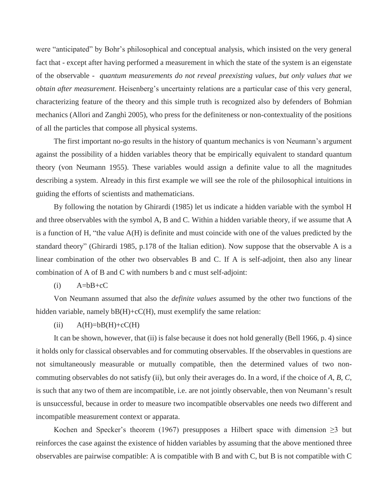were "anticipated" by Bohr's philosophical and conceptual analysis, which insisted on the very general fact that - except after having performed a measurement in which the state of the system is an eigenstate of the observable - *quantum measurements do not reveal preexisting values, but only values that we obtain after measurement*. Heisenberg's uncertainty relations are a particular case of this very general, characterizing feature of the theory and this simple truth is recognized also by defenders of Bohmian mechanics (Allori and Zanghì 2005), who press for the definiteness or non-contextuality of the positions of all the particles that compose all physical systems.

The first important no-go results in the history of quantum mechanics is von Neumann's argument against the possibility of a hidden variables theory that be empirically equivalent to standard quantum theory (von Neumann 1955). These variables would assign a definite value to all the magnitudes describing a system. Already in this first example we will see the role of the philosophical intuitions in guiding the efforts of scientists and mathematicians.

By following the notation by Ghirardi (1985) let us indicate a hidden variable with the symbol H and three observables with the symbol A, B and C. Within a hidden variable theory, if we assume that A is a function of H, "the value A(H) is definite and must coincide with one of the values predicted by the standard theory" (Ghirardi 1985, p.178 of the Italian edition). Now suppose that the observable A is a linear combination of the other two observables B and C. If A is self-adjoint, then also any linear combination of A of B and C with numbers b and c must self-adjoint:

 $(i)$   $A=bB+cC$ 

Von Neumann assumed that also the *definite values* assumed by the other two functions of the hidden variable, namely  $bB(H)+cC(H)$ , must exemplify the same relation:

(ii)  $A(H)=bB(H)+cC(H)$ 

It can be shown, however, that (ii) is false because it does not hold generally (Bell 1966, p. 4) since it holds only for classical observables and for commuting observables. If the observables in questions are not simultaneously measurable or mutually compatible, then the determined values of two noncommuting observables do not satisfy (ii), but only their averages do. In a word, if the choice of *A*, *B*, *C*, is such that any two of them are incompatible, i.e. are not jointly observable, then von Neumann's result is unsuccessful, because in order to measure two incompatible observables one needs two different and incompatible measurement context or apparata.

Kochen and Specker's theorem (1967) presupposes a Hilbert space with dimension  $\geq 3$  but reinforces the case against the existence of hidden variables by assuming that the above mentioned three observables are pairwise compatible: A is compatible with B and with C, but B is not compatible with C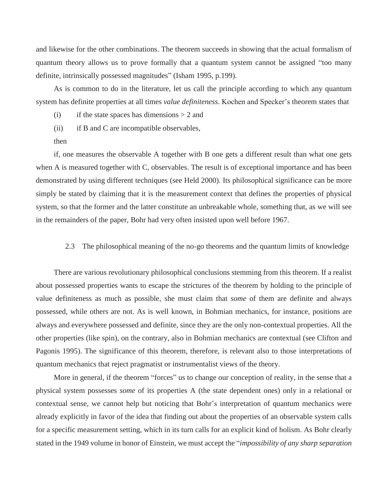and likewise for the other combinations. The theorem succeeds in showing that the actual formalism of quantum theory allows us to prove formally that a quantum system cannot be assigned "too many definite, intrinsically possessed magnitudes" (Isham 1995, p.199).

As is common to do in the literature, let us call the principle according to which any quantum system has definite properties at all times *value definiteness*. Kochen and Specker's theorem states that

- (i) if the state spaces has dimensions  $> 2$  and
- (ii) if B and C are incompatible observables,
- then

if, one measures the observable A together with B one gets a different result than what one gets when A is measured together with C, observables. The result is of exceptional importance and has been demonstrated by using different techniques (see Held 2000). Its philosophical significance can be more simply be stated by claiming that it is the measurement context that defines the properties of physical system, so that the former and the latter constitute an unbreakable whole, something that, as we will see in the remainders of the paper, Bohr had very often insisted upon well before 1967.

2.3 The philosophical meaning of the no-go theorems and the quantum limits of knowledge

There are various revolutionary philosophical conclusions stemming from this theorem. If a realist about possessed properties wants to escape the strictures of the theorem by holding to the principle of value definiteness as much as possible, she must claim that *some* of them are definite and always possessed, while others are not. As is well known, in Bohmian mechanics, for instance, positions are always and everywhere possessed and definite, since they are the only non-contextual properties. All the other properties (like spin), on the contrary, also in Bohmian mechanics are contextual (see Clifton and Pagonis 1995). The significance of this theorem, therefore, is relevant also to those interpretations of quantum mechanics that reject pragmatist or instrumentalist views of the theory.

More in general, if the theorem "forces" us to change our conception of reality, in the sense that a physical system possesses *some* of its properties A (the state dependent ones) only in a relational or contextual sense, we cannot help but noticing that Bohr's interpretation of quantum mechanics were already explicitly in favor of the idea that finding out about the properties of an observable system calls for a specific measurement setting, which in its turn calls for an explicit kind of holism. As Bohr clearly stated in the 1949 volume in honor of Einstein, we must accept the "*impossibility of any sharp separation*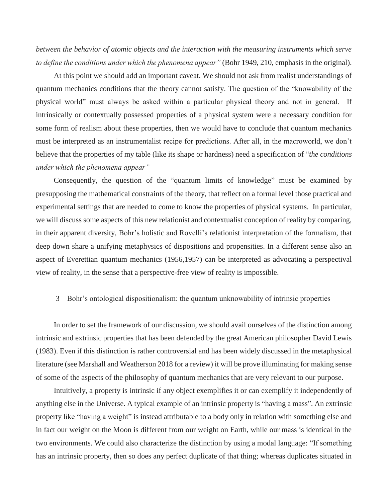*between the behavior of atomic objects and the interaction with the measuring instruments which serve to define the conditions under which the phenomena appear"* (Bohr 1949, 210, emphasis in the original).

At this point we should add an important caveat. We should not ask from realist understandings of quantum mechanics conditions that the theory cannot satisfy. The question of the "knowability of the physical world" must always be asked within a particular physical theory and not in general. If intrinsically or contextually possessed properties of a physical system were a necessary condition for some form of realism about these properties, then we would have to conclude that quantum mechanics must be interpreted as an instrumentalist recipe for predictions. After all, in the macroworld, we don't believe that the properties of my table (like its shape or hardness) need a specification of "*the conditions under which the phenomena appear"*

Consequently, the question of the "quantum limits of knowledge" must be examined by presupposing the mathematical constraints of the theory, that reflect on a formal level those practical and experimental settings that are needed to come to know the properties of physical systems. In particular, we will discuss some aspects of this new relationist and contextualist conception of reality by comparing, in their apparent diversity, Bohr's holistic and Rovelli's relationist interpretation of the formalism, that deep down share a unifying metaphysics of dispositions and propensities. In a different sense also an aspect of Everettian quantum mechanics (1956,1957) can be interpreted as advocating a perspectival view of reality, in the sense that a perspective-free view of reality is impossible.

#### 3 Bohr's ontological dispositionalism: the quantum unknowability of intrinsic properties

In order to set the framework of our discussion, we should avail ourselves of the distinction among intrinsic and extrinsic properties that has been defended by the great American philosopher David Lewis (1983). Even if this distinction is rather controversial and has been widely discussed in the metaphysical literature (see Marshall and Weatherson 2018 for a review) it will be prove illuminating for making sense of some of the aspects of the philosophy of quantum mechanics that are very relevant to our purpose.

Intuitively, a property is intrinsic if any object exemplifies it or can exemplify it independently of anything else in the Universe. A typical example of an intrinsic property is "having a mass". An extrinsic property like "having a weight" is instead attributable to a body only in relation with something else and in fact our weight on the Moon is different from our weight on Earth, while our mass is identical in the two environments. We could also characterize the distinction by using a modal language: "If something has an intrinsic property, then so does any perfect duplicate of that thing; whereas duplicates situated in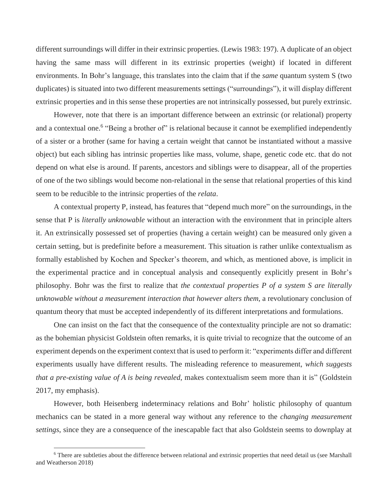different surroundings will differ in their extrinsic properties. (Lewis 1983: 197). A duplicate of an object having the same mass will different in its extrinsic properties (weight) if located in different environments. In Bohr's language, this translates into the claim that if the *same* quantum system S (two duplicates) is situated into two different measurements settings ("surroundings"), it will display different extrinsic properties and in this sense these properties are not intrinsically possessed, but purely extrinsic.

However, note that there is an important difference between an extrinsic (or relational) property and a contextual one.<sup>6</sup> "Being a brother of" is relational because it cannot be exemplified independently of a sister or a brother (same for having a certain weight that cannot be instantiated without a massive object) but each sibling has intrinsic properties like mass, volume, shape, genetic code etc. that do not depend on what else is around. If parents, ancestors and siblings were to disappear, all of the properties of one of the two siblings would become non-relational in the sense that relational properties of this kind seem to be reducible to the intrinsic properties of the *relata*.

A contextual property P, instead, has features that "depend much more" on the surroundings, in the sense that P is *literally unknowable* without an interaction with the environment that in principle alters it. An extrinsically possessed set of properties (having a certain weight) can be measured only given a certain setting, but is predefinite before a measurement. This situation is rather unlike contextualism as formally established by Kochen and Specker's theorem, and which, as mentioned above, is implicit in the experimental practice and in conceptual analysis and consequently explicitly present in Bohr's philosophy. Bohr was the first to realize that *the contextual properties P of a system S are literally unknowable without a measurement interaction that however alters them*, a revolutionary conclusion of quantum theory that must be accepted independently of its different interpretations and formulations.

One can insist on the fact that the consequence of the contextuality principle are not so dramatic: as the bohemian physicist Goldstein often remarks, it is quite trivial to recognize that the outcome of an experiment depends on the experiment context that is used to perform it: "experiments differ and different experiments usually have different results. The misleading reference to measurement, *which suggests that a pre-existing value of A is being revealed*, makes contextualism seem more than it is" (Goldstein 2017, my emphasis).

However, both Heisenberg indeterminacy relations and Bohr' holistic philosophy of quantum mechanics can be stated in a more general way without any reference to the *changing measurement settings*, since they are a consequence of the inescapable fact that also Goldstein seems to downplay at

<sup>&</sup>lt;sup>6</sup> There are subtleties about the difference between relational and extrinsic properties that need detail us (see Marshall and Weatherson 2018)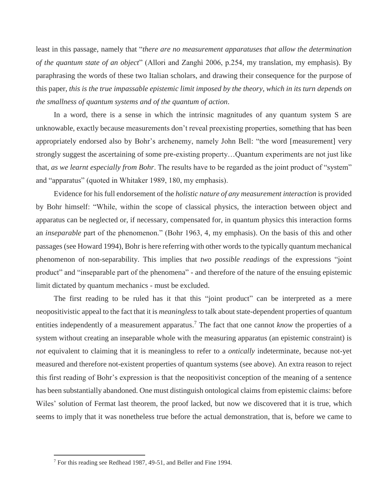least in this passage, namely that "*there are no measurement apparatuses that allow the determination of the quantum state of an object*" (Allori and Zanghì 2006, p.254, my translation, my emphasis). By paraphrasing the words of these two Italian scholars, and drawing their consequence for the purpose of this paper, *this is the true impassable epistemic limit imposed by the theory, which in its turn depends on the smallness of quantum systems and of the quantum of action*.

In a word, there is a sense in which the intrinsic magnitudes of any quantum system S are unknowable, exactly because measurements don't reveal preexisting properties, something that has been appropriately endorsed also by Bohr's archenemy, namely John Bell: "the word [measurement] very strongly suggest the ascertaining of some pre-existing property…Quantum experiments are not just like that, *as we learnt especially from Bohr*. The results have to be regarded as the joint product of "system" and "apparatus" (quoted in Whitaker 1989, 180, my emphasis).

Evidence for his full endorsement of the *holistic nature of any measurement interaction* is provided by Bohr himself: "While, within the scope of classical physics, the interaction between object and apparatus can be neglected or, if necessary, compensated for, in quantum physics this interaction forms an *inseparable* part of the phenomenon." (Bohr 1963, 4, my emphasis). On the basis of this and other passages (see Howard 1994), Bohr is here referring with other words to the typically quantum mechanical phenomenon of non-separability. This implies that *two possible readings* of the expressions "joint product" and "inseparable part of the phenomena" - and therefore of the nature of the ensuing epistemic limit dictated by quantum mechanics - must be excluded.

The first reading to be ruled has it that this "joint product" can be interpreted as a mere neopositivistic appeal to the fact that it is *meaningless*to talk about state-dependent properties of quantum entities independently of a measurement apparatus. <sup>7</sup> The fact that one cannot *know* the properties of a system without creating an inseparable whole with the measuring apparatus (an epistemic constraint) is *not* equivalent to claiming that it is meaningless to refer to a *ontically* indeterminate, because not-yet measured and therefore not-existent properties of quantum systems (see above). An extra reason to reject this first reading of Bohr's expression is that the neopositivist conception of the meaning of a sentence has been substantially abandoned. One must distinguish ontological claims from epistemic claims: before Wiles' solution of Fermat last theorem, the proof lacked, but now we discovered that it is true, which seems to imply that it was nonetheless true before the actual demonstration, that is, before we came to

<sup>7</sup> For this reading see Redhead 1987, 49-51, and Beller and Fine 1994.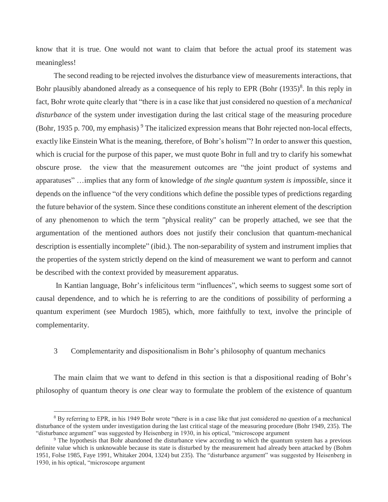know that it is true. One would not want to claim that before the actual proof its statement was meaningless!

The second reading to be rejected involves the disturbance view of measurements interactions, that Bohr plausibly abandoned already as a consequence of his reply to EPR (Bohr (1935)<sup>8</sup>. In this reply in fact, Bohr wrote quite clearly that "there is in a case like that just considered no question of a *mechanical disturbance* of the system under investigation during the last critical stage of the measuring procedure (Bohr, 1935 p. 700, my emphasis)  $9$  The italicized expression means that Bohr rejected non-local effects, exactly like Einstein What is the meaning, therefore, of Bohr's holism"? In order to answer this question, which is crucial for the purpose of this paper, we must quote Bohr in full and try to clarify his somewhat obscure prose. the view that the measurement outcomes are "the joint product of systems and apparatuses" …implies that any form of knowledge of *the single quantum system is impossible*, since it depends on the influence "of the very conditions which define the possible types of predictions regarding the future behavior of the system. Since these conditions constitute an inherent element of the description of any phenomenon to which the term "physical reality" can be properly attached, we see that the argumentation of the mentioned authors does not justify their conclusion that quantum-mechanical description is essentially incomplete" (ibid.). The non-separability of system and instrument implies that the properties of the system strictly depend on the kind of measurement we want to perform and cannot be described with the context provided by measurement apparatus.

In Kantian language, Bohr's infelicitous term "influences", which seems to suggest some sort of causal dependence, and to which he is referring to are the conditions of possibility of performing a quantum experiment (see Murdoch 1985), which, more faithfully to text, involve the principle of complementarity.

### 3 Complementarity and dispositionalism in Bohr's philosophy of quantum mechanics

The main claim that we want to defend in this section is that a dispositional reading of Bohr's philosophy of quantum theory is *one* clear way to formulate the problem of the existence of quantum

<sup>8</sup> By referring to EPR, in his 1949 Bohr wrote "there is in a case like that just considered no question of a mechanical disturbance of the system under investigation during the last critical stage of the measuring procedure (Bohr 1949, 235). The "disturbance argument" was suggested by Heisenberg in 1930, in his optical, "microscope argument

<sup>9</sup> The hypothesis that Bohr abandoned the disturbance view according to which the quantum system has a previous definite value which is unknowable because its state is disturbed by the measurement had already been attacked by (Bohm 1951, Folse 1985, Faye 1991, Whitaker 2004, 1324) but 235). The "disturbance argument" was suggested by Heisenberg in 1930, in his optical, "microscope argument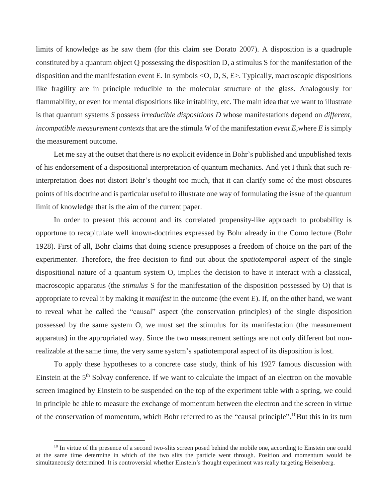limits of knowledge as he saw them (for this claim see Dorato 2007). A disposition is a quadruple constituted by a quantum object Q possessing the disposition D, a stimulus S for the manifestation of the disposition and the manifestation event E. In symbols <O, D, S, E>. Typically, macroscopic dispositions like fragility are in principle reducible to the molecular structure of the glass. Analogously for flammability, or even for mental dispositions like irritability, etc. The main idea that we want to illustrate is that quantum systems *S* possess *irreducible dispositions D* whose manifestations depend on *different, incompatible measurement contexts* that are the stimula *W* of the manifestation *event E*,where *E* is simply the measurement outcome.

Let me say at the outset that there is *no* explicit evidence in Bohr's published and unpublished texts of his endorsement of a dispositional interpretation of quantum mechanics. And yet I think that such reinterpretation does not distort Bohr's thought too much, that it can clarify some of the most obscures points of his doctrine and is particular useful to illustrate one way of formulating the issue of the quantum limit of knowledge that is the aim of the current paper.

In order to present this account and its correlated propensity-like approach to probability is opportune to recapitulate well known-doctrines expressed by Bohr already in the Como lecture (Bohr 1928). First of all, Bohr claims that doing science presupposes a freedom of choice on the part of the experimenter. Therefore, the free decision to find out about the *spatiotemporal aspect* of the single dispositional nature of a quantum system O, implies the decision to have it interact with a classical, macroscopic apparatus (the *stimulus* S for the manifestation of the disposition possessed by O) that is appropriate to reveal it by making it *manifest* in the outcome (the event E). If, on the other hand, we want to reveal what he called the "causal" aspect (the conservation principles) of the single disposition possessed by the same system O, we must set the stimulus for its manifestation (the measurement apparatus) in the appropriated way. Since the two measurement settings are not only different but nonrealizable at the same time, the very same system's spatiotemporal aspect of its disposition is lost.

To apply these hypotheses to a concrete case study, think of his 1927 famous discussion with Einstein at the  $5<sup>th</sup>$  Solvay conference. If we want to calculate the impact of an electron on the movable screen imagined by Einstein to be suspended on the top of the experiment table with a spring, we could in principle be able to measure the exchange of momentum between the electron and the screen in virtue of the conservation of momentum, which Bohr referred to as the "causal principle".<sup>10</sup>But this in its turn

<sup>&</sup>lt;sup>10</sup> In virtue of the presence of a second two-slits screen posed behind the mobile one, according to Einstein one could at the same time determine in which of the two slits the particle went through. Position and momentum would be simultaneously determined. It is controversial whether Einstein's thought experiment was really targeting Heisenberg.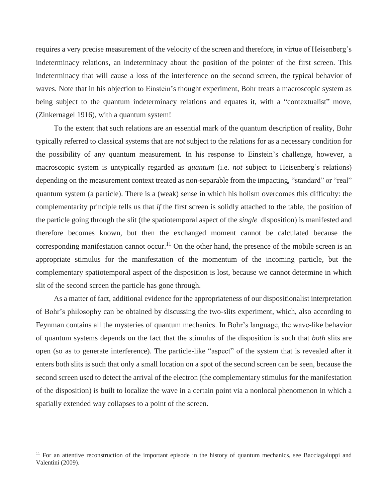requires a very precise measurement of the velocity of the screen and therefore, in virtue of Heisenberg's indeterminacy relations, an indeterminacy about the position of the pointer of the first screen. This indeterminacy that will cause a loss of the interference on the second screen, the typical behavior of waves. Note that in his objection to Einstein's thought experiment, Bohr treats a macroscopic system as being subject to the quantum indeterminacy relations and equates it, with a "contextualist" move, (Zinkernagel 1916), with a quantum system!

To the extent that such relations are an essential mark of the quantum description of reality, Bohr typically referred to classical systems that are *not* subject to the relations for as a necessary condition for the possibility of any quantum measurement. In his response to Einstein's challenge, however, a macroscopic system is untypically regarded as *quantum* (i.e. *not* subject to Heisenberg's relations) depending on the measurement context treated as non-separable from the impacting, "standard" or "real" quantum system (a particle). There is a (weak) sense in which his holism overcomes this difficulty: the complementarity principle tells us that *if* the first screen is solidly attached to the table, the position of the particle going through the slit (the spatiotemporal aspect of the *single* disposition) is manifested and therefore becomes known, but then the exchanged moment cannot be calculated because the corresponding manifestation cannot occur.<sup>11</sup> On the other hand, the presence of the mobile screen is an appropriate stimulus for the manifestation of the momentum of the incoming particle, but the complementary spatiotemporal aspect of the disposition is lost, because we cannot determine in which slit of the second screen the particle has gone through.

As a matter of fact, additional evidence for the appropriateness of our dispositionalist interpretation of Bohr's philosophy can be obtained by discussing the two-slits experiment, which, also according to Feynman contains all the mysteries of quantum mechanics. In Bohr's language, the wave-like behavior of quantum systems depends on the fact that the stimulus of the disposition is such that *both* slits are open (so as to generate interference). The particle-like "aspect" of the system that is revealed after it enters both slits is such that only a small location on a spot of the second screen can be seen, because the second screen used to detect the arrival of the electron (the complementary stimulus for the manifestation of the disposition) is built to localize the wave in a certain point via a nonlocal phenomenon in which a spatially extended way collapses to a point of the screen.

<sup>&</sup>lt;sup>11</sup> For an attentive reconstruction of the important episode in the history of quantum mechanics, see Bacciagaluppi and Valentini (2009).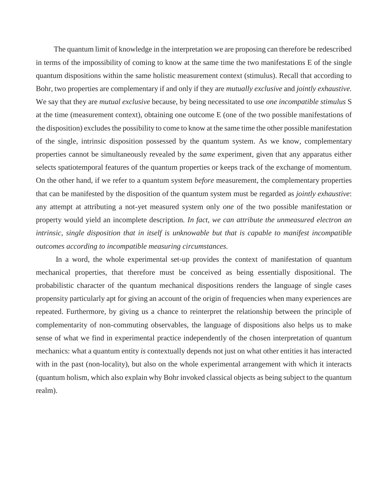The quantum limit of knowledge in the interpretation we are proposing can therefore be redescribed in terms of the impossibility of coming to know at the same time the two manifestations E of the single quantum dispositions within the same holistic measurement context (stimulus). Recall that according to Bohr, two properties are complementary if and only if they are *mutually exclusive* and *jointly exhaustive.*  We say that they are *mutual exclusive* because, by being necessitated to use *one incompatible stimulus* S at the time (measurement context), obtaining one outcome E (one of the two possible manifestations of the disposition) excludes the possibility to come to know at the same time the other possible manifestation of the single, intrinsic disposition possessed by the quantum system. As we know, complementary properties cannot be simultaneously revealed by the *same* experiment, given that any apparatus either selects spatiotemporal features of the quantum properties or keeps track of the exchange of momentum. On the other hand, if we refer to a quantum system *before* measurement, the complementary properties that can be manifested by the disposition of the quantum system must be regarded as *jointly exhaustive*: any attempt at attributing a not-yet measured system only *one* of the two possible manifestation or property would yield an incomplete description*. In fact, we can attribute the unmeasured electron an intrinsic, single disposition that in itself is unknowable but that is capable to manifest incompatible outcomes according to incompatible measuring circumstances.*

In a word, the whole experimental set-up provides the context of manifestation of quantum mechanical properties, that therefore must be conceived as being essentially dispositional. The probabilistic character of the quantum mechanical dispositions renders the language of single cases propensity particularly apt for giving an account of the origin of frequencies when many experiences are repeated. Furthermore, by giving us a chance to reinterpret the relationship between the principle of complementarity of non-commuting observables, the language of dispositions also helps us to make sense of what we find in experimental practice independently of the chosen interpretation of quantum mechanics: what a quantum entity *is* contextually depends not just on what other entities it has interacted with in the past (non-locality), but also on the whole experimental arrangement with which it interacts (quantum holism, which also explain why Bohr invoked classical objects as being subject to the quantum realm).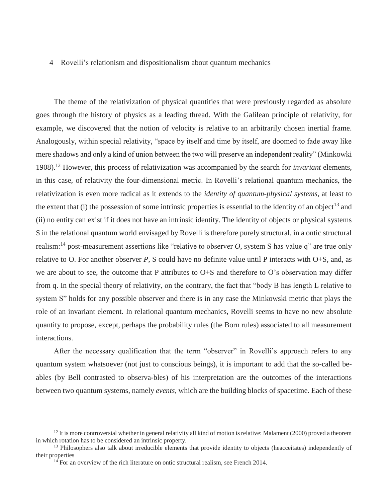# 4 Rovelli's relationism and dispositionalism about quantum mechanics

The theme of the relativization of physical quantities that were previously regarded as absolute goes through the history of physics as a leading thread. With the Galilean principle of relativity, for example, we discovered that the notion of velocity is relative to an arbitrarily chosen inertial frame. Analogously, within special relativity, "space by itself and time by itself, are doomed to fade away like mere shadows and only a kind of union between the two will preserve an independent reality" (Minkowki 1908). <sup>12</sup> However, this process of relativization was accompanied by the search for *invariant* elements, in this case, of relativity the four-dimensional metric. In Rovelli's relational quantum mechanics, the relativization is even more radical as it extends to the *identity of quantum-physical systems*, at least to the extent that (i) the possession of some intrinsic properties is essential to the identity of an object<sup>13</sup> and (ii) no entity can exist if it does not have an intrinsic identity. The identity of objects or physical systems S in the relational quantum world envisaged by Rovelli is therefore purely structural, in a ontic structural realism: <sup>14</sup> post-measurement assertions like "relative to observer *O*, system S has value q" are true only relative to O. For another observer *P*, S could have no definite value until P interacts with O+S, and, as we are about to see, the outcome that P attributes to O+S and therefore to O's observation may differ from q. In the special theory of relativity, on the contrary, the fact that "body B has length L relative to system S" holds for any possible observer and there is in any case the Minkowski metric that plays the role of an invariant element. In relational quantum mechanics, Rovelli seems to have no new absolute quantity to propose, except, perhaps the probability rules (the Born rules) associated to all measurement interactions.

After the necessary qualification that the term "observer" in Rovelli's approach refers to any quantum system whatsoever (not just to conscious beings), it is important to add that the so-called beables (by Bell contrasted to observa-bles) of his interpretation are the outcomes of the interactions between two quantum systems, namely *events*, which are the building blocks of spacetime. Each of these

 $12$  It is more controversial whether in general relativity all kind of motion is relative: Malament (2000) proved a theorem in which rotation has to be considered an intrinsic property.

<sup>&</sup>lt;sup>13</sup> Philosophers also talk about irreducible elements that provide identity to objects (heacceitates) independently of their properties

 $14$  For an overview of the rich literature on ontic structural realism, see French 2014.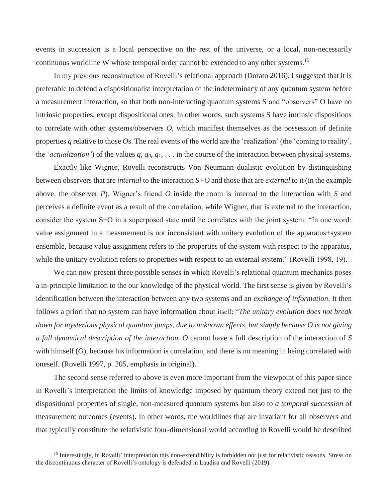events in succession is a local perspective on the rest of the universe, or a local, non-necessarily continuous worldline W whose temporal order cannot be extended to any other systems.<sup>15</sup>

In my previous reconstruction of Rovelli's relational approach (Dorato 2016), I suggested that it is preferable to defend a dispositionalist interpretation of the indeterminacy of any quantum system before a measurement interaction, so that both non-interacting quantum systems S and "observers" O have no intrinsic properties, except dispositional ones. In other words, such systems S have intrinsic dispositions to correlate with other systems/observers *O*, which manifest themselves as the possession of definite properties *q* relative to those *O*s. The real events of the world are the 'realization' (the 'coming to reality', the '*actualization*') of the values  $q, q_0, q_1, \ldots$  in the course of the interaction between physical systems.

Exactly like Wigner, Rovelli reconstructs Von Neumann dualistic evolution by distinguishing between observers that are *internal* to the interaction *S+O* and those that are *external* to it (in the example above, the observer *P*). Wigner's friend *O* inside the room is internal to the interaction with *S* and perceives a definite event as a result of the correlation, while Wigner, that is external to the interaction, consider the system S+O in a superposed state until he correlates with the joint system: "In one word: value assignment in a measurement is not inconsistent with unitary evolution of the apparatus+system ensemble, because value assignment refers to the properties of the system with respect to the apparatus, while the unitary evolution refers to properties with respect to an external system." (Rovelli 1998, 19).

We can now present three possible senses in which Rovelli's relational quantum mechanics poses a in-principle limitation to the our knowledge of the physical world. The first sense is given by Rovelli's identification between the interaction between any two systems and an *exchange of information*. It then follows a priori that no system can have information about itself: "*The unitary evolution does not break down for mysterious physical quantum jumps, due to unknown effects, but simply because O is not giving a full dynamical description of the interaction. O* cannot have a full description of the interaction of *S*  with himself (*O*), because his information is correlation, and there is no meaning in being correlated with oneself. (Rovelli 1997, p. 205, emphasis in original).

The second sense referred to above is even more important from the viewpoint of this paper since in Rovelli's interpretation the limits of knowledge imposed by quantum theory extend not just to the dispositional properties of single, non-measured quantum systems but also to *a temporal succession* of measurement outcomes (events). In other words, the worldlines that are invariant for all observers and that typically constitute the relativistic four-dimensional world according to Rovelli would be described

<sup>&</sup>lt;sup>15</sup> Interestingly, in Rovelli' interpretation this non-extendibility is forbidden not just for relativistic reasons. Stress on the discontinuous character of Rovelli's ontology is defended in Laudisa and Rovelli (2019).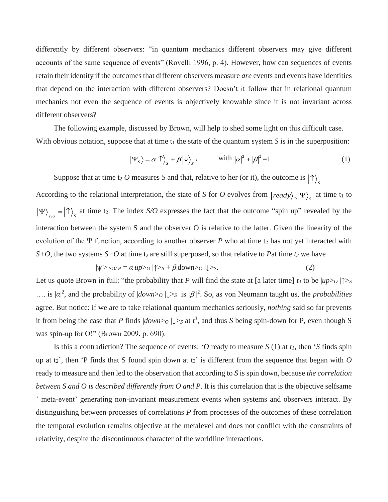differently by different observers: "in quantum mechanics different observers may give different accounts of the same sequence of events" (Rovelli 1996, p. 4). However, how can sequences of events retain their identity if the outcomes that different observers measure *are* events and events have identities that depend on the interaction with different observers? Doesn't it follow that in relational quantum mechanics not even the sequence of events is objectively knowable since it is not invariant across different observers?

The following example, discussed by Brown, will help to shed some light on this difficult case. With obvious notation, suppose that at time  $t_1$  the state of the quantum system  $S$  is in the superposition:

$$
|\Psi_s\rangle = \alpha |\uparrow\rangle_s + \beta |\downarrow\rangle_s, \qquad \text{with } |\alpha|^2 + |\beta|^2 = 1 \tag{1}
$$

Suppose that at time t<sub>2</sub> O measures S and that, relative to her (or it), the outcome is  $|\uparrow\rangle_s$ 

According to the relational interpretation, the state of *S* for *O* evolves from  $|ready\rangle_o|\Psi\rangle_s$  at time t<sub>1</sub> to  $\Psi$ <sub>*s*<sub>*SiQ</sub>* =  $|\uparrow\rangle$ <sub>*S*</sub> at time t<sub>2</sub>. The index *S/O* expresses the fact that the outcome "spin up" revealed by the</sub></sub> interaction between the system S and the observer O is relative to the latter. Given the linearity of the evolution of the Ψ function, according to another observer  $P$  who at time t<sub>2</sub> has not yet interacted with *S+O*, the two systems *S+O* at time  $t_2$  are still superposed, so that relative to *P*at time  $t_2$  we have

$$
|\psi\rangle_{SO/P} = \alpha |up\rangle_{O} | \uparrow\rangle_{S} + \beta |\text{down}\rangle_{O} | \downarrow\rangle_{S}. \tag{2}
$$

Let us quote Brown in full: "the probability that *P* will find the state at [a later time]  $t_3$  to be  $|up>o|$  |↑ .... is  $|\alpha|^2$ , and the probability of  $|down>o|$   $\gg$  is  $|\beta|^2$ . So, as von Neumann taught us, the *probabilities* agree. But notice: if we are to take relational quantum mechanics seriously, *nothing* said so far prevents it from being the case that *P* finds  $|down>o|$   $\downarrow>_S$  at  $t^3$ , and thus *S* being spin-down for P, even though *S* was spin-up for O!" (Brown 2009, p. 690).

Is this a contradiction? The sequence of events: '*O* ready to measure *S* (1) at *t1*, then '*S* finds spin up at t<sub>2</sub>', then 'P finds that S found spin down at t<sub>3</sub>' is different from the sequence that began with *O* ready to measure and then led to the observation that according to *S* is spin down, because *the correlation between S and O is described differently from O and P*. It is this correlation that is the objective selfsame ' meta-event' generating non-invariant measurement events when systems and observers interact. By distinguishing between processes of correlations *P* from processes of the outcomes of these correlation the temporal evolution remains objective at the metalevel and does not conflict with the constraints of relativity, despite the discontinuous character of the worldline interactions.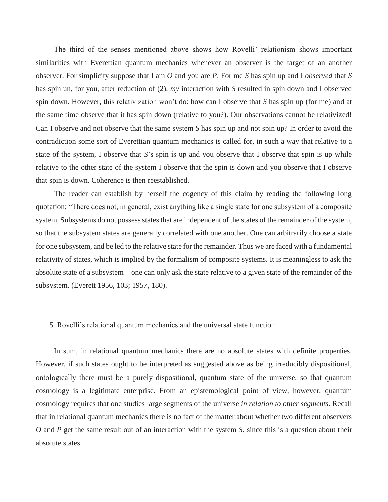The third of the senses mentioned above shows how Rovelli' relationism shows important similarities with Everettian quantum mechanics whenever an observer is the target of an another observer. For simplicity suppose that I am *O* and you are *P*. For me *S* has spin up and I *observed* that *S* has spin un, for you, after reduction of (2), *my* interaction with *S* resulted in spin down and I observed spin down. However, this relativization won't do: how can I observe that *S* has spin up (for me) and at the same time observe that it has spin down (relative to you?). Our observations cannot be relativized! Can I observe and not observe that the same system *S* has spin up and not spin up? In order to avoid the contradiction some sort of Everettian quantum mechanics is called for, in such a way that relative to a state of the system, I observe that *S*'s spin is up and you observe that I observe that spin is up while relative to the other state of the system I observe that the spin is down and you observe that I observe that spin is down. Coherence is then reestablished.

The reader can establish by herself the cogency of this claim by reading the following long quotation: "There does not, in general, exist anything like a single state for one subsystem of a composite system. Subsystems do not possess states that are independent of the states of the remainder of the system, so that the subsystem states are generally correlated with one another. One can arbitrarily choose a state for one subsystem, and be led to the relative state for the remainder. Thus we are faced with a fundamental relativity of states, which is implied by the formalism of composite systems. It is meaningless to ask the absolute state of a subsystem—one can only ask the state relative to a given state of the remainder of the subsystem. (Everett 1956, 103; 1957, 180).

## 5 Rovelli's relational quantum mechanics and the universal state function

In sum, in relational quantum mechanics there are no absolute states with definite properties. However, if such states ought to be interpreted as suggested above as being irreducibly dispositional, ontologically there must be a purely dispositional, quantum state of the universe, so that quantum cosmology is a legitimate enterprise. From an epistemological point of view, however, quantum cosmology requires that one studies large segments of the universe *in relation to other segments*. Recall that in relational quantum mechanics there is no fact of the matter about whether two different observers *O* and *P* get the same result out of an interaction with the system *S*, since this is a question about their absolute states.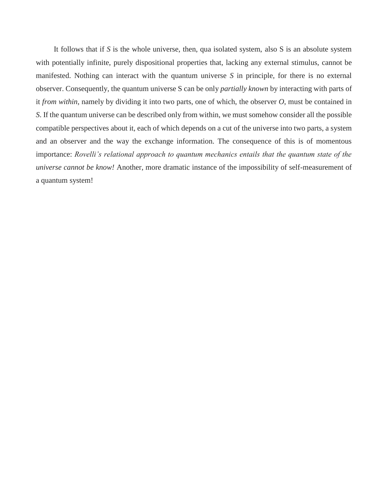It follows that if *S* is the whole universe, then, qua isolated system, also S is an absolute system with potentially infinite, purely dispositional properties that, lacking any external stimulus, cannot be manifested. Nothing can interact with the quantum universe *S* in principle, for there is no external observer. Consequently, the quantum universe S can be only *partially known* by interacting with parts of it *from within*, namely by dividing it into two parts, one of which, the observer *O*, must be contained in *S*. If the quantum universe can be described only from within, we must somehow consider all the possible compatible perspectives about it, each of which depends on a cut of the universe into two parts, a system and an observer and the way the exchange information. The consequence of this is of momentous importance: *Rovelli's relational approach to quantum mechanics entails that the quantum state of the universe cannot be know!* Another, more dramatic instance of the impossibility of self-measurement of a quantum system!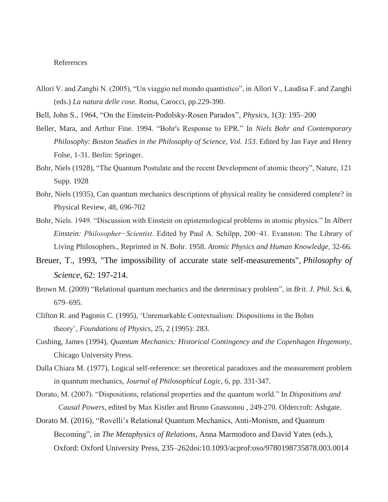### References

Allori V. and Zanghì N. (2005), "Un viaggio nel mondo quantistico", in Allori V., Laudisa F. and Zanghì (eds.) *La natura delle cose.* Roma, Carocci, pp.229-390.

Bell, John S., 1964, "On the Einstein-Podolsky-Rosen Paradox", *Physics*, 1(3): 195–200

- Beller, Mara, and Arthur Fine. 1994. "Bohr's Response to EPR." In *Niels Bohr and Contemporary Philosophy*: *Boston Studies in the Philosophy of Science, Vol. 153*. Edited by Jan Faye and Henry Folse, 1-31. Berlin: Springer.
- Bohr, Niels (1928), "The Quantum Postulate and the recent Development of atomic theory", Nature, 121 Supp. 1928
- Bohr, Niels (1935), Can quantum mechanics descriptions of physical reality be considered complete? in Physical Review, 48, 696-702
- Bohr, Niels. 1949. "Discussion with Einstein on epistemological problems in atomic physics." In *Albert Einstein: Philosopher−Scientist.* Edited by Paul A. Schilpp, 200−41. Evanston: The Library of Living Philosophers., Reprinted in N. Bohr. 1958. *Atomic Physics and Human Knowledge,* 32-66.
- Breuer, T., 1993, "The impossibility of accurate state self-measurements", *Philosophy of Science*, 62: 197-214.
- Brown M. (2009) "Relational quantum mechanics and the determinacy problem", in *Brit. J. Phil. Sci.* **6**, 679–695.
- Clifton R. and Pagonis C. (1995), 'Unremarkable Contextualism: Dispositions in the Bohm theory', *Foundations of Physics*, 25, 2 (1995): 283.
- Cushing, James (1994), *Quantum Mechanics: Historical Contingency and the Copenhagen Hegemony*, Chicago University Press.
- Dalla Chiara M. (1977), Logical self-reference: set theoretical paradoxes and the measurement problem in quantum mechanics, *Journal of Philosophical Logic*, 6, pp. 331-347.
- Dorato, M. (2007). "Dispositions, relational properties and the quantum world." In *Dispositions and Causal Powers*, edited by Max Kistler and Bruno Gnassonou , 249-270. Oldercroft: Ashgate.
- Dorato M. (2016), "Rovelli's Relational Quantum Mechanics, Anti-Monism, and Quantum Becoming", in *The Metaphysics of Relations*, Anna Marmodoro and David Yates (eds.), Oxford: Oxford University Press, 235–262doi:10.1093/acprof:oso/9780198735878.003.0014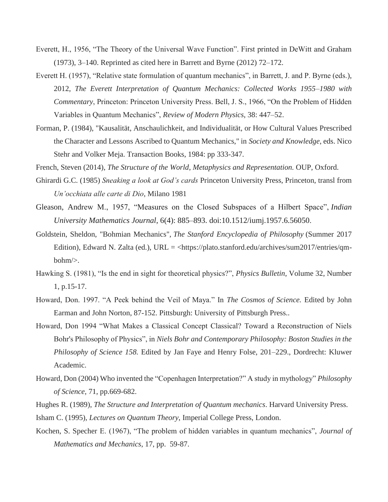- Everett, H., 1956, "The Theory of the Universal Wave Function". First printed in DeWitt and Graham (1973), 3–140. Reprinted as cited here in Barrett and Byrne (2012) 72–172.
- Everett H. (1957), "Relative state formulation of quantum mechanics", in Barrett, J. and P. Byrne (eds.), 2012, *The Everett Interpretation of Quantum Mechanics: Collected Works 1955–1980 with Commentary*, Princeton: Princeton University Press. Bell, J. S., 1966, "On the Problem of Hidden Variables in Quantum Mechanics", *Review of Modern Physics*, 38: 447–52.
- Forman, P. (1984), "Kausalität, Anschaulichkeit, and Individualität, or How Cultural Values Prescribed the Character and Lessons Ascribed to Quantum Mechanics," in *Society and Knowledge*, eds. Nico Stehr and Volker Meja. Transaction Books, 1984: pp 333-347.
- French, Steven (2014), *The Structure of the World*, *Metaphysics and Representation.* OUP, Oxford.
- Ghirardi G.C. (1985) *Sneaking a look at God's cards* Princeton University Press, Princeton, transl from *Un'occhiata alle carte di Dio*, Milano 1981
- Gleason, Andrew M., 1957, "Measures on the Closed Subspaces of a Hilbert Space", *Indian University Mathematics Journal*, 6(4): 885–893. doi:10.1512/iumj.1957.6.56050.
- Goldstein, Sheldon, "Bohmian Mechanics", *The Stanford Encyclopedia of Philosophy* (Summer 2017 Edition), Edward N. Zalta (ed.), URL = <https://plato.stanford.edu/archives/sum2017/entries/qmbohm/>.
- Hawking S. (1981), "Is the end in sight for theoretical physics?", *Physics Bulletin*, Volume 32, Number 1, p.15-17.
- Howard, Don. 1997. "A Peek behind the Veil of Maya." In *The Cosmos of Science.* Edited by John Earman and John Norton, 87-152. Pittsburgh: University of Pittsburgh Press..
- Howard, Don 1994 "What Makes a Classical Concept Classical? Toward a Reconstruction of Niels Bohr's Philosophy of Physics", in *Niels Bohr and Contemporary Philosophy: Boston Studies in the Philosophy of Science 158.* Edited by Jan Faye and Henry Folse, 201–229., Dordrecht: Kluwer Academic.
- Howard, Don (2004) Who invented the "Copenhagen Interpretation?" A study in mythology" *Philosophy of Science,* 71, pp.669-682.
- Hughes R. (1989), *The Structure and Interpretation of Quantum mechanics*. Harvard University Press.
- Isham C. (1995), *Lectures on Quantum Theory*, Imperial College Press, London.
- Kochen, S. Specher E. (1967), "The problem of hidden variables in quantum mechanics", *Journal of Mathematics and Mechanics*, 17, pp. 59-87.